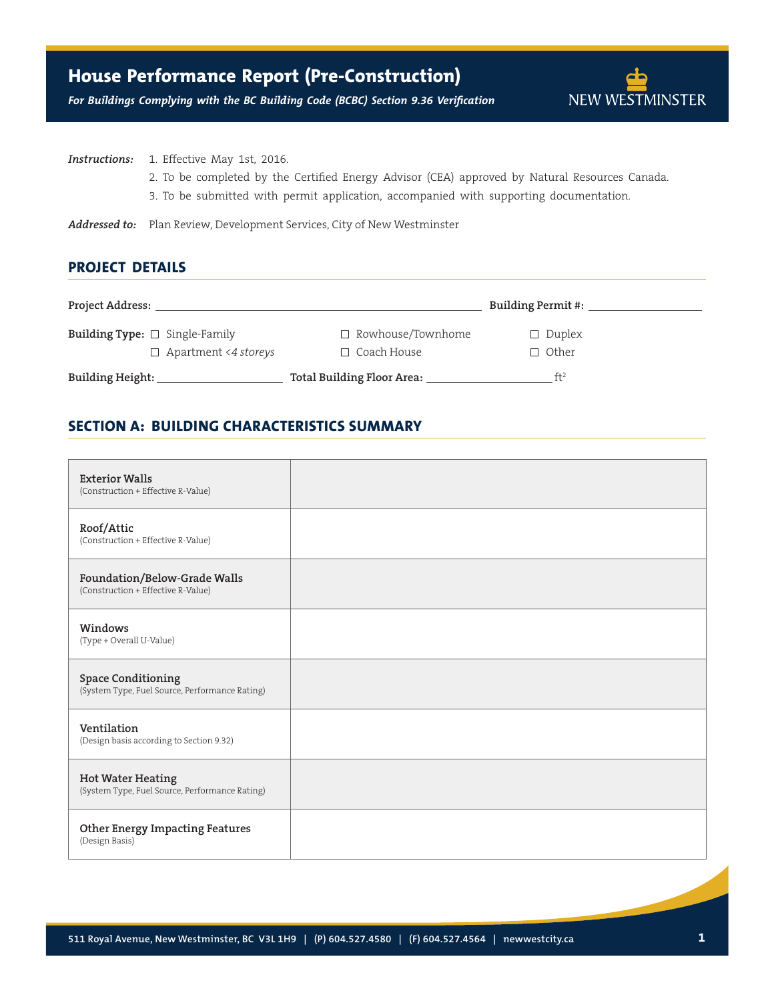# **House Performance Report (Pre-Construction)**

NEW WESTMINSTER

*For Buildings Complying with the BC Building Code (BCBC) Section 9.36 Verification*

**Instructions:** 1. Effective May 1st, 2016.

- 2. To be completed by the Certified Energy Advisor (CEA) approved by Natural Resources Canada.
- 3. To be submitted with permit application, accompanied with supporting documentation.

**Addressed to:** Plan Review, Development Services, City of New Westminster

### **Project Details**

| <b>Project Address:</b>                                                   |                                                | Building Permit #:            |  |
|---------------------------------------------------------------------------|------------------------------------------------|-------------------------------|--|
| <b>Building Type:</b> $\Box$ Single-Family<br>$\Box$ Apartment <4 storeys | $\Box$ Rowhouse/Townhome<br>$\Box$ Coach House | $\Box$ Duplex<br>$\Box$ Other |  |
| Building Height:                                                          | Total Building Floor Area:                     | ft <sup>2</sup>               |  |

## **SECTION A: BUILDING CHARACTERISTICS SUMMARY**

| <b>Exterior Walls</b><br>(Construction + Effective R-Value)                 |  |
|-----------------------------------------------------------------------------|--|
| Roof/Attic<br>(Construction + Effective R-Value)                            |  |
| Foundation/Below-Grade Walls<br>(Construction + Effective R-Value)          |  |
| Windows<br>(Type + Overall U-Value)                                         |  |
| <b>Space Conditioning</b><br>(System Type, Fuel Source, Performance Rating) |  |
| Ventilation<br>(Design basis according to Section 9.32)                     |  |
| <b>Hot Water Heating</b><br>(System Type, Fuel Source, Performance Rating)  |  |
| <b>Other Energy Impacting Features</b><br>(Design Basis)                    |  |